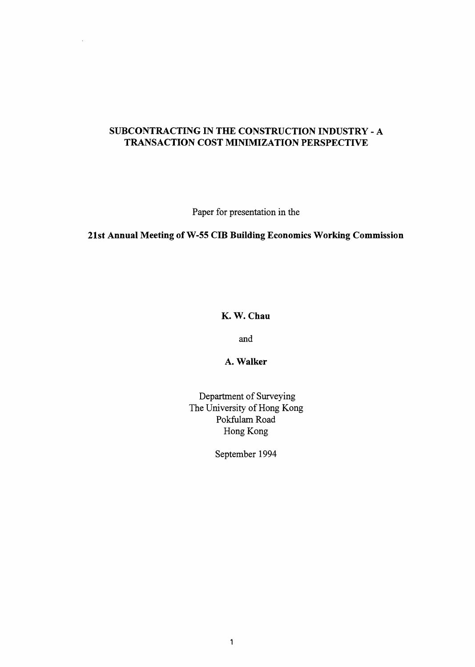# **SUBCONTRACTING IN THE CONSTRUCTION INDUSTRY** - **A TRANSACTION COST MINIMIZATION PERSPECTIVE**

Paper for presentation in the

# **21st Annual Meeting of W-55 CIB Building Economics Working Commission**

**K. W. Chau** 

and

**A. Walker** 

Department of Surveying The University of Hong Kong Pokfulam Road Hong Kong

September 1994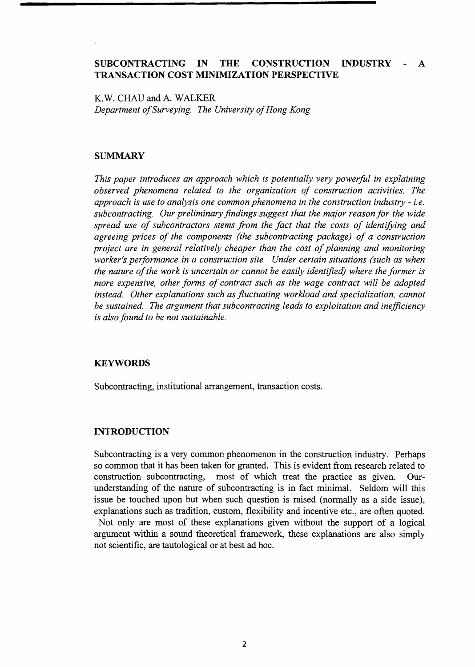## **SUBCONTRACTING IN THE CONSTRUCTION INDUSTRY** - **A TRANSACTION COST MINIMIZATION PERSPECTIVE**

K. W. CHAU and A. WALKER *Department of Surveying. The University of Hong Kong* 

### **SUMMARY**

*This paper introduces an approach which is potentially very powerful in explaining observed phenomena related to the organization of construction activities. The approach is use to analysis one common phenomena in the construction industry - i.e. subcontracting. Our preliminary findings suggest that the major reason for the wide spread use of subcontractors stems from the fact that the costs of identifying and agreeing prices of the components (the subcontracting package) of a construction project are in general relatively cheaper than the cost of planning and monitoring worker's performance in a construction site. Under certain situations (such as when the nature of the work is uncertain or cannot be easily identified) where the former is more expensive, other forms of contract such as the wage contract will be adopted instead. Other explanations such as fluctuating workload and specialization, cannot be sustained. The argument that subcontracting leads to exploitation and ineficiency is also found to be not sustainable.* 

## **KEYWORDS**

Subcontracting, institutional arrangement, transaction costs.

### **INTRODUCTION**

Subcontracting is a very common phenomenon in the construction industry. Perhaps so common that it has been taken for granted. This is evident from research related to construction subcontracting, most of which treat the practice as given. Ourunderstanding of the nature of subcontracting is in fact minimal. Seldom will this issue be touched upon but when such question is raised (normally as a side issue), explanations such as tradition, custom, flexibility and incentive etc., are often quoted.

Not only are most of these explanations given without the support of a logical argument within a sound theoretical framework, these explanations are also simply not scientific, are tautological or at best ad hoc.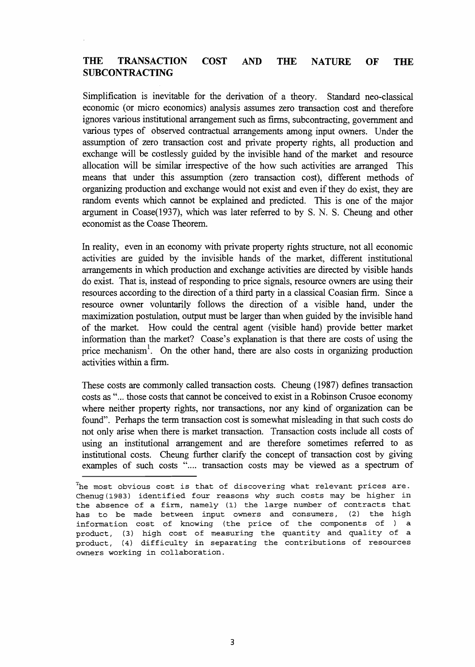## **THE TRANSACTION COST AND THE NATURE OF THE SUBCONTRACTING**

Simplification is inevitable for the derivation of a theory. Standard neo-classical economic (or micro economics) analysis assumes zero transaction cost and therefore ignores various institutional arrangement such as firms, subcontracting, government and various types of observed contractual arrangements among input owners. Under the assumption of zero transaction cost and private property rights, all production and exchange will be costlessly guided by the invisible hand of the market and resource allocation will be similar irrespective of the how such activities are arranged This means that under this assumption (zero transaction cost), different methods of organizing production and exchange would not exist and even if they do exist, they are random events which cannot be explained and predicted. This is one of the major argument in Coase(1937), which was later referred to by S. N. S. Cheung and other economist as the Coase Theorem.

In reality, even in an economy with private property rights structure, not all economic activities are guided by the invisible hands of the market, different institutional arrangements in which production and exchange activities are directed by visible hands do exist. That is, instead of responding to price signals, resource owners are using their resources according to the direction of a third party in a classical Coasian firm. Since a resource owner voluntarily follows the direction of a visible hand, under the maximization postulation, output must be larger than when guided by the invisible hand of the market. How could the central agent (visible hand) provide better market information than the market? Coase's explanation is that there are costs of using the price mechanism<sup>1</sup>. On the other hand, there are also costs in organizing production activities within a firm.

These costs are commonly called transaction costs. Cheung (1987) defines transaction costs as "... those costs that cannot be conceived to exist in a Robinson Crusoe economy where neither property rights, nor transactions, nor any kind of organization can be found". Perhaps the term transaction cost is somewhat misleading in that such costs do not only arise when there is market transaction. Transaction costs include all costs of using an institutional arrangement and are therefore sometimes referred to as institutional costs. Cheung further clarify the concept of transaction cost by giving examples of such costs ".... transaction costs may be viewed as a spectrum of

**The most obvious cost is that of discovering what relevant prices are. Chenug (1983) identified four reasons why such costs may be higher in the absence of a firm, namely (1) the large number of contracts that has to be made between input owners and consumers, (2) the high information cost of knowing (the price of the components of** ) **a product, (3) high cost of measuring the quantity and quality of a product, (4) difficulty in separating the contributions of resources owners working in collaboration.**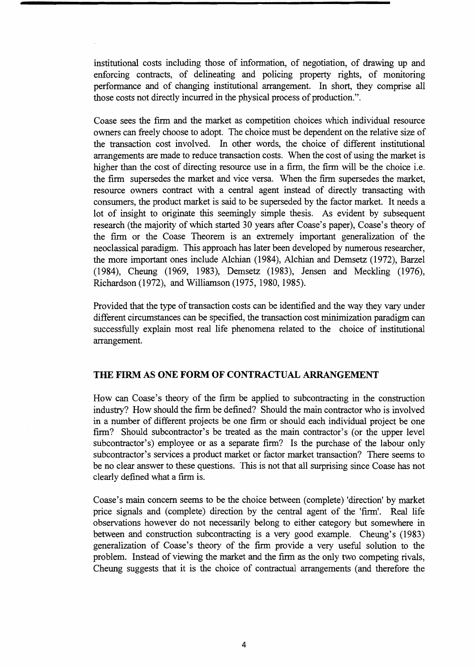institutional costs including those of information, of negotiation, of drawing up and enforcing contracts, of delineating and policing property rights, of monitoring performance and of changing institutional arrangement. In short, they comprise all those costs not directly incurred in the physical process of production.".

Coase sees the firm and the market as competition choices whlch individual resource owners can freely choose to adopt. The choice must be dependent on the relative size of the transaction cost involved. In other words, the choice of different institutional arrangements are made to reduce transaction costs. When the cost of using the market is higher than the cost of directing resource use in a firm, the firm will be the choice i.e. the firm supersedes the market and vice versa. When the firm supersedes the market, resource owners contract with a central agent instead of directly transacting with consumers, the product market is said to be superseded by the factor market. It needs a lot of insight to originate this seemingly simple thesis. As evident by subsequent research (the majority of which started 30 years after Coase's paper), Coase's theory of the firm or the Coase Theorem is an extremely important generalization of the neoclassical paradigm. This approach has later been developed by numerous researcher, the more important ones include Alchian (1984), Alchian and Demsetz (1972), Barzel (1984), Cheung (1969, 1983), Demsetz (1983), Jensen and Meckling (1976), Richardson (1972), and Williamson (1975, 1980, 1985).

Provided that the type of transaction costs can be identified and the way they vary under different circumstances can be specified, the transaction cost minimization paradigm can successfully explain most real life phenomena related to the choice of institutional arrangement.

## **THE FIRM AS ONE FORM OF CONTRACTUAL ARRANGEMENT**

How can Coase's theory of the firm be applied to subcontracting in the construction industry? How should the firm be defined? Should the main contractor who is involved in a number of different projects be one firm or should each individual project be one firm? Should subcontractor's be treated as the main contractor's (or the upper level subcontractor's) employee or as a separate firm? Is the purchase of the labour only subcontractor's services a product market or factor market transaction? There seems to be no clear answer to these questions. This is not that all surprising since Coase has not clearly defined what a firm is.

Coase's main concern seems to be the choice between (complete) 'direction' by market price signals and (complete) direction by the central agent of the 'firm'. Real life observations however do not necessarily belong to either category but somewhere in between and construction subcontracting is a very good example. Cheung's (1983) generalization of Coase's theory of the firm provide a very useful solution to the problem. Instead of viewing the market and the firm **as** the only two competing rivals, Cheung suggests that it is the choice of contractual arrangements (and therefore the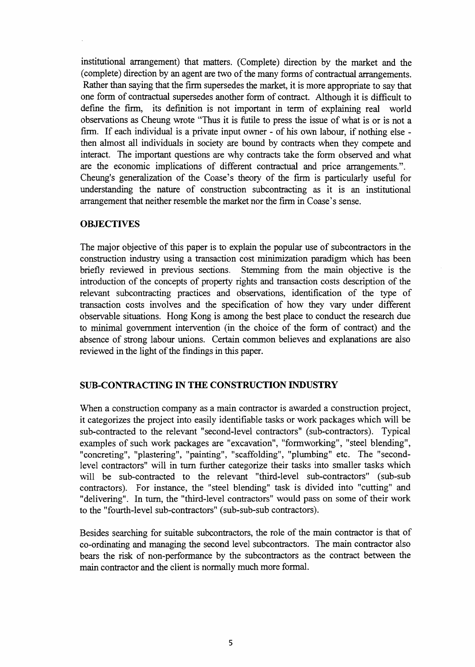institutional arrangement) that matters. (Complete) direction by the market and the (complete) direction by an agent are two of the many forms of contractual arrangements. Rather than saying that the firm supersedes the market, it is more appropriate to say that one form of contractual supersedes another form of contract. Although it is difficult to define the firm, its definition is not important in term of explaining real world observations as Cheung wrote "Thus it is futile to press the issue of what is or is not a firm. If each individual is a private input owner - of his own labour, if nothing else then almost all individuals in society are bound by contracts when they compete and interact. The important questions are why contracts take the form observed and what are the economic implications of different contractual and price arrangements.". Cheung's generalization of the Coase's theory of the firm is particularly useful for understanding the nature of construction subcontracting as it is an institutional arrangement that neither resemble the market nor the firm in Coase's sense.

## **OBJECTIVES**

The major objective of this paper is to explain the popular use of subcontractors in the construction industry using a transaction cost minimization paradigm which has been briefly reviewed in previous sections. Stemming fiom the main objective is the introduction of the concepts of property rights and transaction costs description of the relevant subcontracting practices and observations, identification of the type of transaction costs involves and the specification of how they vary under different observable situations. Hong Kong is among the best place to conduct the research due to minimal government intervention (in the choice of the form of contract) and the absence of strong labour unions. Certain common believes and explanations are also reviewed in the light of the findings in this paper.

### **SUB-CONTRACTING IN THE CONSTRUCTION INDUSTRY**

When a construction company as a main contractor is awarded a construction project, it categorizes the project into easily identifiable tasks or work packages which will be sub-contracted to the relevant "second-level contractors" (sub-contractors). Typical examples of such work packages are "excavation", "formworking", "steel blending", "concreting", "plastering", "painting", "scaffolding", "plumbing" etc. The "secondlevel contractors" will in turn further categorize their tasks into smaller tasks which will be sub-contracted to the relevant "third-level sub-contractors" (sub-sub contractors). For instance, the "steel blending" task is divided into "cutting" and "delivering". In turn, the "third-level contractors" would pass on some of their work to the "fourth-level sub-contractors" (sub-sub-sub contractors).

Besides searching for suitable subcontractors, the role of the main contractor is that of co-ordinating and managing the second level subcontractors. The main contractor also bears the risk of non-performance by the subcontractors as the contract between the main contractor and the client is normally much more formal.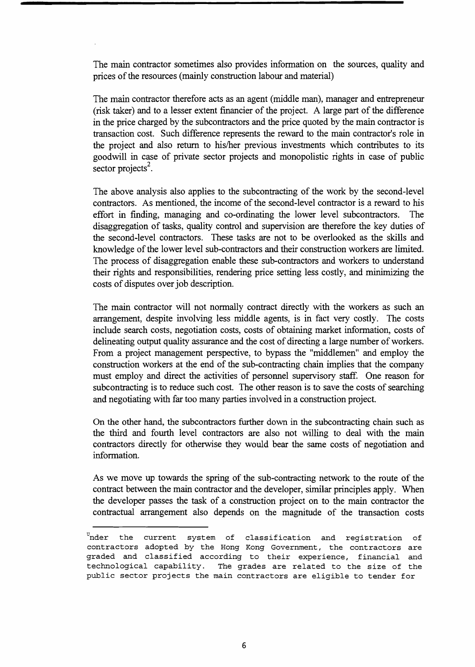The main contractor sometimes also provides information on the sources, quality and prices of the resources (mainly construction labour and material)

The main contractor therefore acts as an agent (middle man), manager and entrepreneur (risk taker) and to a lesser extent financier of the project. A large part of the difference in the price charged by the subcontractors and the price quoted by the main contractor is transaction cost. Such difference represents the reward to the main contractor's role in the project and also return to his/her previous investments which contributes to its goodwill in case of private sector projects and monopolistic rights in case of public sector projects<sup>2</sup>.

The above analysis also applies to the subcontracting of the work by the second-level contractors. As mentioned, the income of the second-level contractor is a reward to his effort in fmding, managing and co-ordinating the lower level subcontractors. The disaggregation of tasks, quality control and supervision are therefore the key duties of the second-level contractors. These tasks are not to be overlooked as the skills and knowledge of the lower level sub-contractors and their construction workers are limited. The process of disaggregation enable these sub-contractors and workers to understand their rights and responsibilities, rendering price setting less costly, and minimizing the costs of disputes over job description.

The main contractor will not normally contract directly with the workers as such an arrangement, despite involving less middle agents, is in fact very costly. The costs include search costs, negotiation costs, costs of obtaining market information, costs of delineating output quality assurance and the cost of directing a large number of workers. From a project management perspective, to bypass the "middlemen" and employ the construction workers at the end of the sub-contracting chain implies that the company must employ and direct the activities of personnel supervisory staff. One reason for subcontracting is to reduce such cost. The other reason is to save the costs of searching and negotiating with far too many parties involved in a construction project.

On the other hand, the subcontractors further down in the subcontracting chain such as the third and fourth level contractors are also not willing to deal with the main contractors directly for otherwise they would bear the same costs of negotiation and information.

As we move up towards the spring of the sub-contracting network to the route of the contract between the main contractor and the developer, similar principles apply. When the developer passes the task of a construction project on to the main contractor the contractual arrangement also depends on the magnitude of the transaction costs

**<sup>&#</sup>x27;rider the current system of classification and registration of contractors adopted by the Hong Kong Goverriment, the contractors are graded and classified according to their experience, financial and technological capability. The grades are related to the size of the public sector projects the main contractors are eligible to tender for**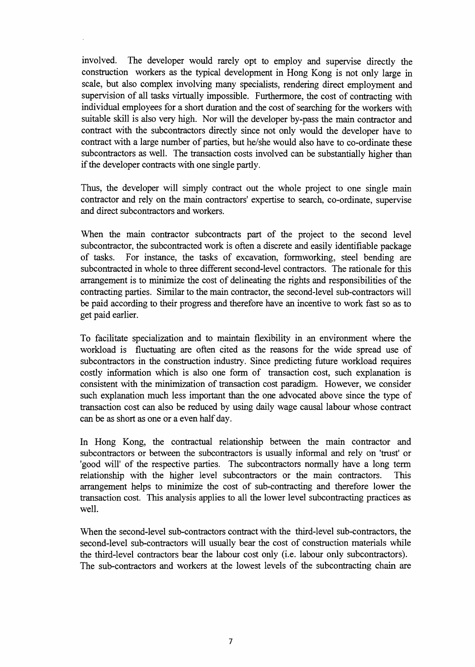involved. The developer would rarely opt to employ and supervise directly the construction workers as the typical development in Hong Kong is not only large in scale, but also complex involving many specialists, rendering direct employment and supervision of all tasks virtually impossible. Furthermore, the cost of contracting with individual employees for a short duration and the cost of searching for the workers with suitable skill is also very high. Nor will the developer by-pass the main contractor and contract with the subcontractors directly since not only would the developer have to contract with a large number of parties, but he/she would also have to co-ordinate these subcontractors as well. The transaction costs involved can be substantially higher than if the developer contracts with one single partly.

Thus, the developer will simply contract out the whole project to one single main contractor and rely on the main contractors' expertise to search, co-ordinate, supervise and direct subcontractors and workers.

When the main contractor subcontracts part of the project to the second level subcontractor, the subcontracted work is often a discrete and easily identifiable package of tasks. For instance, the tasks of excavation, formworking, steel bending are subcontracted in whole to three different second-level contractors. The rationale for this arrangement is to minimize the cost of delineating the rights and responsibilities of the contracting parties. Similar to the main contractor, the second-level sub-contractors will be paid according to their progress and therefore have an incentive to work fast so as to get paid earlier.

To facilitate specialization and to maintain flexibility in an environment where the workload is fluctuating are often cited as the reasons for the wide spread use of subcontractors in the construction industry. Since predicting future workload requires costly information which is also one form of transaction cost, such explanation is consistent with the minimization of transaction cost paradigm. However, we consider such explanation much less important than the one advocated above since the type of transaction cost can also be reduced by using daily wage causal labour whose contract can be as short as one or a even half day.

In Hong Kong, the contractual relationship between the main contractor and subcontractors or between the subcontractors is usually informal and rely on 'trust' or 'good will' of the respective parties. The subcontractors normally have a long term relationship with the higher level subcontractors or the main contractors. This arrangement helps to minimize the cost of sub-contracting and therefore lower the transaction cost. This analysis applies to all the lower level subcontracting practices as well.

When the second-level sub-contractors contract with the third-level sub-contractors, the second-level sub-contractors will usually bear the cost of construction materials while the third-level contractors bear the labour cost only (i.e. labour only subcontractors). The sub-contractors and workers at the lowest levels of the subcontracting chain are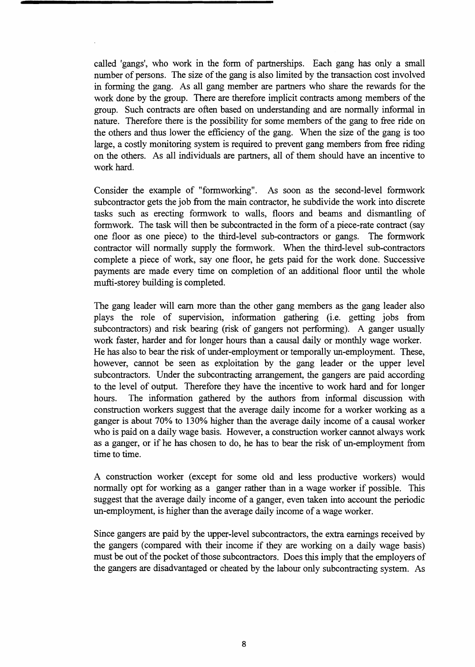called 'gangs', who work in the form of partnerships. Each gang has only a small number of persons. The size of the gang is also limited by the transaction cost involved in forming the gang. As all gang member are partners who share the rewards for the work done by the group. There are therefore implicit contracts among members of the group. Such contracts are often based on understanding and are normally informal in nature. Therefore there is the possibility for some members of the gang to free ride on the others and thus lower the efficiency of the gang. When the size of the gang is too large, a costly monitoring system is required to prevent gang members from free riding on the others. As all individuals are partners, all of them should have an incentive to work hard.

Consider the example of "formworking". As soon as the second-level formwork subcontractor gets the job from the main contractor, he subdivide the work into discrete tasks such as erecting formwork to walls, floors and beams and dismantling of formwork. The task will then be subcontracted in the form of a piece-rate contract (say one floor as one piece) to the third-level sub-contractors or gangs. The formwork contractor will normally supply the formwork. When the third-level sub-contractors complete a piece of work, say one floor, he gets paid for the work done. Successive payments are made every time on completion of an additional floor until the whole mufti-storey building is completed.

The gang leader will earn more than the other gang members as the gang leader also plays the role of supervision, information gathering (i.e. getting jobs from subcontractors) and risk bearing (risk of gangers not performing). A ganger usually work faster, harder and for longer hours than a causal daily or monthly wage worker. He has also to bear the risk of under-employment or temporally un-employment. These, however, cannot be seen as exploitation by the gang leader or the upper level subcontractors. Under the subcontracting arrangement, the gangers are paid according to the level of output. Therefore they have the incentive to work hard and for longer hours. The information gathered by the authors from informal discussion with construction workers suggest that the average daily income for a worker working as a ganger is about 70% to 130% higher than the average daily income of a causal worker who is paid on a daily wage basis. However, a construction worker cannot always work as a ganger, or if he has chosen to do, he has to bear the risk of un-employment from time to time.

A construction worker (except for some old and less productive workers) would normally opt for working as a ganger rather than in a wage worker if possible. This suggest that the average daily income of a ganger, even taken into account the periodic un-employment, is higher than the average daily income of a wage worker.

Since gangers are paid by the upper-level subcontractors, the extra earnings received by the gangers (compared with their income if they are working on a daily wage basis) must be out of the pocket of those subcontractors. Does this imply that the employers of the gangers are disadvantaged or cheated by the labour only subcontracting system. As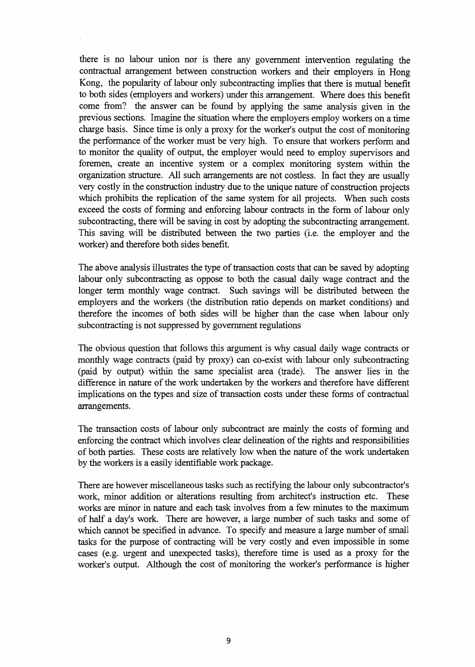there is no labour union nor is there any government intervention regulating the contractual arrangement between construction workers and their employers in Hong Kong, the popularity of labour only subcontracting implies that there is mutual benefit to both sides (employers and workers) under this arrangement. Where does this benefit come from? the answer can be found by applying the same analysis given in the previous sections. Imagine the situation where the employers employ workers on a time charge basis. Since time is only a proxy for the worker's output the cost of monitoring the performance of the worker must be very high. To ensure that workers perform and to monitor the quality of output, the employer would need to employ supervisors and foremen, create an incentive system or a complex monitoring system within the organization structure. All such arrangements are not costless. In fact they are usually very costly in the construction industry due to the unique nature of construction projects which prohibits the replication of the same system for all projects. When such costs exceed the costs of forming and enforcing labour contracts in the form of labour only subcontracting, there will be saving in cost by adopting the subcontracting arrangement. This saving will be distributed between the two parties (i.e. the employer and the worker) and therefore both sides benefit.

The above analysis illustrates the type of transaction costs that can be saved by adopting labour only subcontracting as oppose to both the casual daily wage contract and the longer term monthly wage contract. Such savings will be distributed between the employers and the workers (the distribution ratio depends on market conditions) and therefore the incomes of both sides will be higher than the case when labour only subcontracting is not suppressed by government regulations

The obvious question that follows this argument is why casual daily wage contracts or monthly wage contracts (paid by proxy) can co-exist with labour only subcontracting (paid by output) within the same specialist area (trade). The answer lies in the difference in nature of the work undertaken by the workers and therefore have different implications on the types and size of transaction costs under these forms of contractual arrangements.

The transaction costs of labour only subcontract are mainly the costs of forming and enforcing the contract which involves clear delineation of the rights and responsibilities of both parties. These costs are relatively low when the nature of the work undertaken by the workers is a easily identifiable work package.

There are however miscellaneous tasks such as rectifying the labour only subcontractor's work, minor addition or alterations resulting from architect's instruction etc. These works are minor in nature and each task involves from a few minutes to the maximum of half a day's work. There are however, a large number of such tasks and some of which cannot be specified in advance. To specify and measure a large number of small tasks for the purpose of contracting will be very costly and even impossible in some cases (e.g. urgent and unexpected tasks), therefore time is used as a proxy for the worker's output. Although the cost of monitoring the worker's performance is higher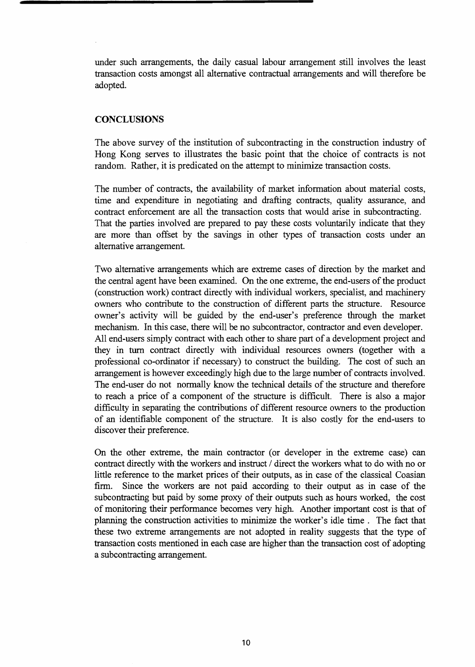under such arrangements, the daily casual labour arrangement still involves the least transaction costs amongst all alternative contractual arrangements and will therefore be adopted.

### **CONCLUSIONS**

The above survey of the institution of subcontracting in the construction industry of Hong Kong serves to illustrates the basic point that the choice of contracts is not random. Rather, it is predicated on the attempt to minimize transaction costs.

The number of contracts, the availability of market information about material costs, time and expenditure in negotiating and drafting contracts, quality assurance, and contract enforcement are all the transaction costs that would arise in subcontracting. That the parties involved are prepared to pay these costs voluntarily indicate that they are more than offset by the savings in other types of transaction costs under an alternative arrangement.

Two alternative arrangements which are extreme cases of direction by the market and the central agent have been examined. On the one extreme, the end-users of the product (construction work) contract directly with individual workers, specialist, and machinery owners who contribute to the construction of different parts the structure. Resource owner's activity will be guided by the end-user's preference through the market mechanism. In this case, there will be no subcontractor, contractor and even developer. All end-users simply contract with each other to share part of a development project and they in turn contract directly with individual resources owners (together with a professional co-ordinator if necessary) to construct the building. The cost of such an arrangement is however exceedingly high due to the large number of contracts involved. The end-user do not normally know the technical details of the structure and therefore to reach a price of a component of the structure is difficult. There is also a major difficulty in separating the contributions of different resource owners to the production of an identifiable component of the structure. It is also costly for the end-users to discover their preference.

On the other extreme, the main contractor (or developer in the extreme case) can contract directly with the workers and instruct / direct the workers what to do with no or little reference to the market prices of their outputs, as in case of the classical Coasian firm. Since the workers are not paid according to their output as in case of the subcontracting but paid by some proxy of their outputs such as hours worked, the cost of monitoring their performance becomes very high. Another important cost is that of planning the construction activities to minimize the worker's idle time . The fact that these two extreme arrangements are not adopted in reality suggests that the type of transaction costs mentioned in each case are higher than the transaction cost of adopting a subcontracting arrangement.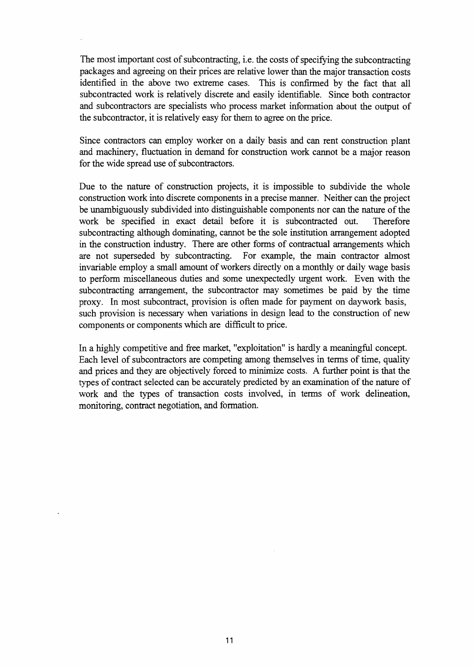The most important cost of subcontracting, i.e. the costs of specifying the subcontracting packages and agreeing on their prices are relative lower than the major transaction costs identified in the above two extreme cases. This is confirmed by the fact that all subcontracted work is relatively discrete and easily identifiable. Since both contractor and subcontractors are specialists who process market information about the output of the subcontractor, it is relatively easy for them to agree on the price.

Since contractors can employ worker on a daily basis and can rent construction plant and machinery, fluctuation in demand for construction work cannot be a major reason for the wide spread use of subcontractors.

Due to the nature of construction projects, it is impossible to subdivide the whole construction work into discrete components in a precise manner. Neither can the project be unambiguously subdivided into distinguishable components nor can the nature of the work be specified in exact detail before it is subcontracted out. Therefore subcontracting although dominating, cannot be the sole institution arrangement adopted in the construction industry. There are other forms of contractual arrangements which are not superseded by subcontracting. For example, the main contractor almost invariable employ a small amount of workers directly on a monthly or daily wage basis to perform miscellaneous duties and some unexpectedly urgent work. Even with the subcontracting arrangement, the subcontractor may sometimes be paid by the time proxy. In most subcontract, provision is often made for payment on daywork basis, such provision is necessary when variations in design lead to the construction of new components or components which are difficult to price.

In a highly competitive and fiee market, "exploitation" is hardly a meaningful concept. Each level of subcontractors are competing among themselves in terms of time, quality and prices and they are objectively forced to minimize costs. **A** further point is that the types of contract selected can be accurately predicted by an examination of the nature of work and the types of transaction costs involved, in terms of work delineation, monitoring, contract negotiation, and formation.